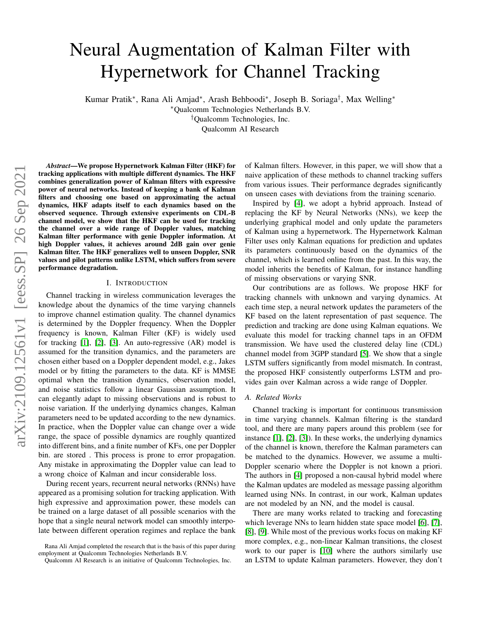# Neural Augmentation of Kalman Filter with Hypernetwork for Channel Tracking

Kumar Pratik<sup>∗</sup> , Rana Ali Amjad<sup>∗</sup> , Arash Behboodi<sup>∗</sup> , Joseph B. Soriaga† , Max Welling<sup>∗</sup>

<sup>∗</sup>Qualcomm Technologies Netherlands B.V.

†Qualcomm Technologies, Inc.

Qualcomm AI Research

*Abstract*—We propose Hypernetwork Kalman Filter (HKF) for tracking applications with multiple different dynamics. The HKF combines generalization power of Kalman filters with expressive power of neural networks. Instead of keeping a bank of Kalman filters and choosing one based on approximating the actual dynamics, HKF adapts itself to each dynamics based on the observed sequence. Through extensive experiments on CDL-B channel model, we show that the HKF can be used for tracking the channel over a wide range of Doppler values, matching Kalman filter performance with genie Doppler information. At high Doppler values, it achieves around 2dB gain over genie Kalman filter. The HKF generalizes well to unseen Doppler, SNR values and pilot patterns unlike LSTM, which suffers from severe performance degradation.

#### I. INTRODUCTION

Channel tracking in wireless communication leverages the knowledge about the dynamics of the time varying channels to improve channel estimation quality. The channel dynamics is determined by the Doppler frequency. When the Doppler frequency is known, Kalman Filter (KF) is widely used for tracking [\[1\]](#page-6-0), [\[2\]](#page-6-1), [\[3\]](#page-6-2). An auto-regressive (AR) model is assumed for the transition dynamics, and the parameters are chosen either based on a Doppler dependent model, e.g., Jakes model or by fitting the parameters to the data. KF is MMSE optimal when the transition dynamics, observation model, and noise statistics follow a linear Gaussian assumption. It can elegantly adapt to missing observations and is robust to noise variation. If the underlying dynamics changes, Kalman parameters need to be updated according to the new dynamics. In practice, when the Doppler value can change over a wide range, the space of possible dynamics are roughly quantized into different bins, and a finite number of KFs, one per Doppler bin. are stored . This process is prone to error propagation. Any mistake in approximating the Doppler value can lead to a wrong choice of Kalman and incur considerable loss.

During recent years, recurrent neural networks (RNNs) have appeared as a promising solution for tracking application. With high expressive and approximation power, these models can be trained on a large dataset of all possible scenarios with the hope that a single neural network model can smoothly interpolate between different operation regimes and replace the bank of Kalman filters. However, in this paper, we will show that a naive application of these methods to channel tracking suffers from various issues. Their performance degrades significantly on unseen cases with deviations from the training scenario.

Inspired by [\[4\]](#page-6-3), we adopt a hybrid approach. Instead of replacing the KF by Neural Networks (NNs), we keep the underlying graphical model and only update the parameters of Kalman using a hypernetwork. The Hypernetwork Kalman Filter uses only Kalman equations for prediction and updates its parameters continuously based on the dynamics of the channel, which is learned online from the past. In this way, the model inherits the benefits of Kalman, for instance handling of missing observations or varying SNR.

Our contributions are as follows. We propose HKF for tracking channels with unknown and varying dynamics. At each time step, a neural network updates the parameters of the KF based on the latent representation of past sequence. The prediction and tracking are done using Kalman equations. We evaluate this model for tracking channel taps in an OFDM transmission. We have used the clustered delay line (CDL) channel model from 3GPP standard [\[5\]](#page-6-4). We show that a single LSTM suffers significantly from model mismatch. In contrast, the proposed HKF consistently outperforms LSTM and provides gain over Kalman across a wide range of Doppler.

#### *A. Related Works*

Channel tracking is important for continuous transmission in time varying channels. Kalman filtering is the standard tool, and there are many papers around this problem (see for instance [\[1\]](#page-6-0), [\[2\]](#page-6-1), [\[3\]](#page-6-2)). In these works, the underlying dynamics of the channel is known, therefore the Kalman parameters can be matched to the dynamics. However, we assume a multi-Doppler scenario where the Doppler is not known a priori. The authors in [\[4\]](#page-6-3) proposed a non-causal hybrid model where the Kalman updates are modeled as message passing algorithm learned using NNs. In contrast, in our work, Kalman updates are not modeled by an NN, and the model is causal.

There are many works related to tracking and forecasting which leverage NNs to learn hidden state space model [\[6\]](#page-6-5), [\[7\]](#page-6-6), [\[8\]](#page-6-7), [\[9\]](#page-6-8). While most of the previous works focus on making KF more complex, e.g., non-linear Kalman transitions, the closest work to our paper is [\[10\]](#page-6-9) where the authors similarly use an LSTM to update Kalman parameters. However, they don't

Rana Ali Amjad completed the research that is the basis of this paper during employment at Qualcomm Technologies Netherlands B.V.

Qualcomm AI Research is an initiative of Qualcomm Technologies, Inc.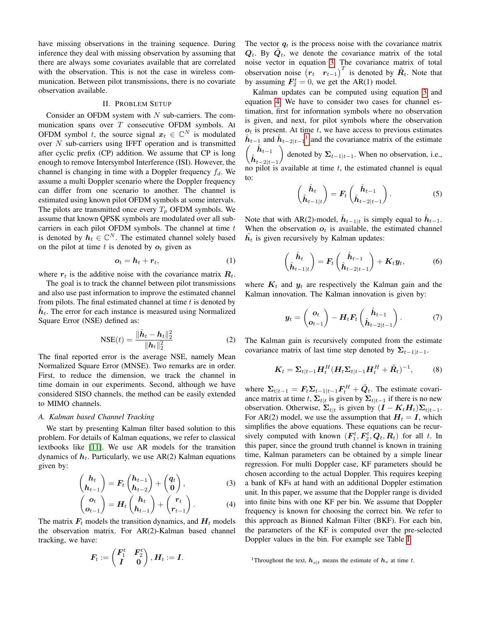have missing observations in the training sequence. During inference they deal with missing observation by assuming that there are always some covariates available that are correlated with the observation. This is not the case in wireless communication. Between pilot transmissions, there is no covariate observation available.

## II. PROBLEM SETUP

Consider an OFDM system with  $N$  sub-carriers. The communication spans over  $T$  consecutive OFDM symbols. At OFDM symbol t, the source signal  $x_t \in \mathbb{C}^N$  is modulated over  $N$  sub-carriers using IFFT operation and is transmitted after cyclic prefix (CP) addition. We assume that CP is long enough to remove Intersymbol Interference (ISI). However, the channel is changing in time with a Doppler frequency  $f_d$ . We assume a multi Doppler scenario where the Doppler frequency can differ from one scenario to another. The channel is estimated using known pilot OFDM symbols at some intervals. The pilots are transmitted once every  $T_p$  OFDM symbols. We assume that known QPSK symbols are modulated over all subcarriers in each pilot OFDM symbols. The channel at time  $t$ is denoted by  $h_t \in \mathbb{C}^N$ . The estimated channel solely based on the pilot at time t is denoted by  $o_t$  given as

$$
o_t = h_t + r_t, \tag{1}
$$

where  $r_t$  is the additive noise with the covariance matrix  $R_t$ .

The goal is to track the channel between pilot transmissions and also use past information to improve the estimated channel from pilots. The final estimated channel at time  $t$  is denoted by  $\hat{h}_t$ . The error for each instance is measured using Normalized Square Error (NSE) defined as:

<span id="page-1-3"></span>
$$
NSE(t) = \frac{\|\hat{\boldsymbol{h}}_t - \boldsymbol{h}_t\|_2^2}{\|\boldsymbol{h}_t\|_2^2}
$$
 (2)

The final reported error is the average NSE, namely Mean Normalized Square Error (MNSE). Two remarks are in order. First, to reduce the dimension, we track the channel in time domain in our experiments. Second, although we have considered SISO channels, the method can be easily extended to MIMO channels.

## *A. Kalman based Channel Tracking*

We start by presenting Kalman filter based solution to this problem. For details of Kalman equations, we refer to classical textbooks like [\[11\]](#page-6-10). We use AR models for the transition dynamics of  $h_t$ . Particularly, we use AR(2) Kalman equations given by:

$$
\begin{pmatrix} h_t \\ h_{t-1} \end{pmatrix} = F_t \begin{pmatrix} h_{t-1} \\ h_{t-2} \end{pmatrix} + \begin{pmatrix} q_t \\ 0 \end{pmatrix}, \tag{3}
$$

$$
\begin{pmatrix} \boldsymbol{o}_t \\ \boldsymbol{o}_{t-1} \end{pmatrix} = \boldsymbol{H}_t \begin{pmatrix} \boldsymbol{h}_t \\ \boldsymbol{h}_{t-1} \end{pmatrix} + \begin{pmatrix} \boldsymbol{r}_t \\ \boldsymbol{r}_{t-1} \end{pmatrix} . \tag{4}
$$

The matrix  $F_t$  models the transition dynamics, and  $H_t$  models the observation matrix. For AR(2)-Kalman based channel tracking, we have:

$$
\boldsymbol{F_t} := \begin{pmatrix} \boldsymbol{F_1^t} & \boldsymbol{F_2^t} \\ \boldsymbol{I} & \boldsymbol{0} \end{pmatrix}, \boldsymbol{H_t} := \boldsymbol{I}.
$$

The vector  $q_t$  is the process noise with the covariance matrix  $Q_t$ . By  $\tilde{Q}_t$ , we denote the covariance matrix of the total noise vector in equation [3.](#page-1-0) The covariance matrix of total observation noise  $(r_t \rvert r_{t-1})^T$  is denoted by  $\tilde{R}_t$ . Note that by assuming  $F_2^t = 0$ , we get the AR(1) model.

Kalman updates can be computed using equation [3](#page-1-0) and equation [4.](#page-1-1) We have to consider two cases for channel estimation, first for information symbols where no observation is given, and next, for pilot symbols where the observation  $o<sub>t</sub>$  is present. At time t, we have access to previous estimates  $\hat{h}_{t-1}$  $\hat{h}_{t-1}$  $\hat{h}_{t-1}$  and  $\hat{h}_{t-2|t-1}$  and the covariance matrix of the estimate  $\binom{\hat{\bm{h}}_{t-1}}{\hat{\bm{h}}_{t-2|t-1}}$ denoted by  $\Sigma_{t-1|t-1}$ . When no observation, i.e., no pilot is available at time  $t$ , the estimated channel is equal to:

$$
\begin{pmatrix} \hat{\mathbf{h}}_t \\ \hat{\mathbf{h}}_{t-1|t} \end{pmatrix} = \mathbf{F}_t \begin{pmatrix} \hat{\mathbf{h}}_{t-1} \\ \hat{\mathbf{h}}_{t-2|t-1} \end{pmatrix} . \tag{5}
$$

Note that with AR(2)-model,  $\hat{h}_{t-1|t}$  is simply equal to  $\hat{h}_{t-1}$ . When the observation  $o_t$  is available, the estimated channel  $\hat{h_t}$  is given recursively by Kalman updates:

$$
\begin{pmatrix} \hat{\boldsymbol{h}}_t \\ \hat{\boldsymbol{h}}_{t-1|t} \end{pmatrix} = \boldsymbol{F}_t \begin{pmatrix} \hat{\boldsymbol{h}}_{t-1} \\ \hat{\boldsymbol{h}}_{t-2|t-1} \end{pmatrix} + \boldsymbol{K}_t \boldsymbol{y}_t, \tag{6}
$$

where  $K_t$  and  $y_t$  are respectively the Kalman gain and the Kalman innovation. The Kalman innovation is given by:

$$
\boldsymbol{y}_t = \begin{pmatrix} \boldsymbol{o}_t \\ \boldsymbol{o}_{t-1} \end{pmatrix} - \boldsymbol{H}_t \boldsymbol{F}_t \begin{pmatrix} \hat{\boldsymbol{h}}_{t-1} \\ \hat{\boldsymbol{h}}_{t-2|t-1} \end{pmatrix} . \tag{7}
$$

The Kalman gain is recursively computed from the estimate covariance matrix of last time step denoted by  $\Sigma_{t-1|t-1}$ .

$$
\boldsymbol{K}_t = \boldsymbol{\Sigma}_{t|t-1} \boldsymbol{H}_t^H (\boldsymbol{H}_t \boldsymbol{\Sigma}_{t|t-1} \boldsymbol{H}_t^H + \tilde{\boldsymbol{R}}_t)^{-1},\tag{8}
$$

where  $\Sigma_{t|t-1} = F_t \Sigma_{t-1|t-1} F_t^H + \tilde{Q}_t$ . The estimate covariance matrix at time t,  $\Sigma_{t|t}$  is given by  $\Sigma_{t|t-1}$  if there is no new observation. Otherwise,  $\Sigma_{t|t}$  is given by  $(I - K_t H_t) \Sigma_{t|t-1}$ . For AR(2) model, we use the assumption that  $H_t = I$ , which simplifies the above equations. These equations can be recursively computed with known  $(F_1^t, F_2^t, Q_t, R_t)$  for all t. In this paper, since the ground truth channel is known in training time, Kalman parameters can be obtained by a simple linear regression. For multi Doppler case, KF parameters should be chosen according to the actual Doppler. This requires keeping a bank of KFs at hand with an additional Doppler estimation unit. In this paper, we assume that the Doppler range is divided into finite bins with one KF per bin. We assume that Doppler frequency is known for choosing the correct bin. We refer to this approach as Binned Kalman Filter (BKF). For each bin, the parameters of the KF is computed over the pre-selected Doppler values in the bin. For example see Table [I.](#page-3-0)

<span id="page-1-2"></span><span id="page-1-1"></span><span id="page-1-0"></span><sup>&</sup>lt;sup>1</sup>Throughout the text,  $h_{s|t}$  means the estimate of  $h_s$  at time t.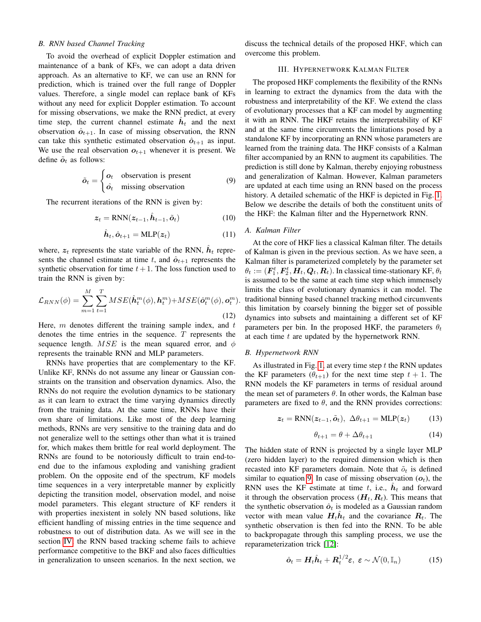## *B. RNN based Channel Tracking*

To avoid the overhead of explicit Doppler estimation and maintenance of a bank of KFs, we can adopt a data driven approach. As an alternative to KF, we can use an RNN for prediction, which is trained over the full range of Doppler values. Therefore, a single model can replace bank of KFs without any need for explicit Doppler estimation. To account for missing observations, we make the RNN predict, at every time step, the current channel estimate  $\hat{h}_t$  and the next observation  $\hat{\boldsymbol{o}}_{t+1}$ . In case of missing observation, the RNN can take this synthetic estimated observation  $\hat{o}_{t+1}$  as input. We use the real observation  $o_{t+1}$  whenever it is present. We define  $\tilde{o}_t$  as follows:

<span id="page-2-0"></span>
$$
\tilde{o}_t = \begin{cases} o_t & \text{observation is present} \\ \hat{o}_t & \text{missing observation} \end{cases}
$$
 (9)

The recurrent iterations of the RNN is given by:

$$
z_t = \text{RNN}(z_{t-1}, \hat{\boldsymbol{h}}_{t-1}, \tilde{\boldsymbol{o}}_t)
$$
 (10)

$$
\hat{\boldsymbol{h}}_t, \hat{\boldsymbol{o}}_{t+1} = \text{MLP}(\boldsymbol{z}_t)
$$
\n(11)

where,  $z_t$  represents the state variable of the RNN,  $\hat{h}_t$  represents the channel estimate at time t, and  $\hat{\boldsymbol{o}}_{t+1}$  represents the synthetic observation for time  $t+1$ . The loss function used to train the RNN is given by:

$$
\mathcal{L}_{RNN}(\phi) = \sum_{m=1}^{M} \sum_{t=1}^{T} MSE(\hat{\boldsymbol{h}}_t^m(\phi), \boldsymbol{h}_t^m) + MSE(\hat{\boldsymbol{o}}_t^m(\phi), \boldsymbol{o}_t^m).
$$
\n(12)

Here,  $m$  denotes different the training sample index, and  $t$ denotes the time entries in the sequence.  $T$  represents the sequence length.  $MSE$  is the mean squared error, and  $\phi$ represents the trainable RNN and MLP parameters.

RNNs have properties that are complementary to the KF. Unlike KF, RNNs do not assume any linear or Gaussian constraints on the transition and observation dynamics. Also, the RNNs do not require the evolution dynamics to be stationary as it can learn to extract the time varying dynamics directly from the training data. At the same time, RNNs have their own share of limitations. Like most of the deep learning methods, RNNs are very sensitive to the training data and do not generalize well to the settings other than what it is trained for, which makes them brittle for real world deployment. The RNNs are found to be notoriously difficult to train end-toend due to the infamous exploding and vanishing gradient problem. On the opposite end of the spectrum, KF models time sequences in a very interpretable manner by explicitly depicting the transition model, observation model, and noise model parameters. This elegant structure of KF renders it with properties inexistent in solely NN based solutions, like efficient handling of missing entries in the time sequence and robustness to out of distribution data. As we will see in the section [IV,](#page-3-1) the RNN based tracking scheme fails to achieve performance competitive to the BKF and also faces difficulties in generalization to unseen scenarios. In the next section, we

discuss the technical details of the proposed HKF, which can overcome this problem.

## III. HYPERNETWORK KALMAN FILTER

The proposed HKF complements the flexibility of the RNNs in learning to extract the dynamics from the data with the robustness and interpretability of the KF. We extend the class of evolutionary processes that a KF can model by augmenting it with an RNN. The HKF retains the interpretability of KF and at the same time circumvents the limitations posed by a standalone KF by incorporating an RNN whose parameters are learned from the training data. The HKF consists of a Kalman filter accompanied by an RNN to augment its capabilities. The prediction is still done by Kalman, thereby enjoying robustness and generalization of Kalman. However, Kalman parameters are updated at each time using an RNN based on the process history. A detailed schematic of the HKF is depicted in Fig. [1.](#page-3-2) Below we describe the details of both the constituent units of the HKF: the Kalman filter and the Hypernetwork RNN.

## *A. Kalman Filter*

At the core of HKF lies a classical Kalman filter. The details of Kalman is given in the previous section. As we have seen, a Kalman filter is parameterized completely by the parameter set  $\theta_t := (\bm{F}^t_1, \bm{F}^t_2, \bm{H}_t, \bm{Q}_t, \bm{R}_t)$ . In classical time-stationary KF,  $\theta_t$ is assumed to be the same at each time step which immensely limits the class of evolutionary dynamics it can model. The traditional binning based channel tracking method circumvents this limitation by coarsely binning the bigger set of possible dynamics into subsets and maintaining a different set of KF parameters per bin. In the proposed HKF, the parameters  $\theta_t$ at each time  $t$  are updated by the hypernetwork RNN.

#### *B. Hypernetwork RNN*

As illustrated in Fig. [1,](#page-3-2) at every time step  $t$  the RNN updates the KF parameters  $(\theta_{t+1})$  for the next time step  $t + 1$ . The RNN models the KF parameters in terms of residual around the mean set of parameters  $\theta$ . In other words, the Kalman base parameters are fixed to  $\theta$ , and the RNN provides corrections:

$$
\boldsymbol{z}_t = \text{RNN}(\boldsymbol{z}_{t-1}, \tilde{\boldsymbol{o}}_t), \ \Delta \theta_{t+1} = \text{MLP}(\boldsymbol{z}_t) \tag{13}
$$

$$
\theta_{t+1} = \theta + \Delta\theta_{t+1} \tag{14}
$$

The hidden state of RNN is projected by a single layer MLP (zero hidden layer) to the required dimension which is then recasted into KF parameters domain. Note that  $\tilde{o}_t$  is defined similar to equation [9.](#page-2-0) In case of missing observation  $(o_t)$ , the RNN uses the KF estimate at time t, i.e.,  $\hat{h}_t$  and forward it through the observation process  $(H_t, R_t)$ . This means that the synthetic observation  $\hat{o}_t$  is modeled as a Gaussian random vector with mean value  $H_t \hat{h}_t$  and the covariance  $R_t$ . The synthetic observation is then fed into the RNN. To be able to backpropagate through this sampling process, we use the reparameterization trick [\[12\]](#page-6-11):

$$
\hat{\boldsymbol{o}}_t = \boldsymbol{H}_t \hat{\boldsymbol{h}}_t + \boldsymbol{R}_t^{1/2} \boldsymbol{\varepsilon}, \ \boldsymbol{\varepsilon} \sim \mathcal{N}(0, \mathbb{I}_n) \tag{15}
$$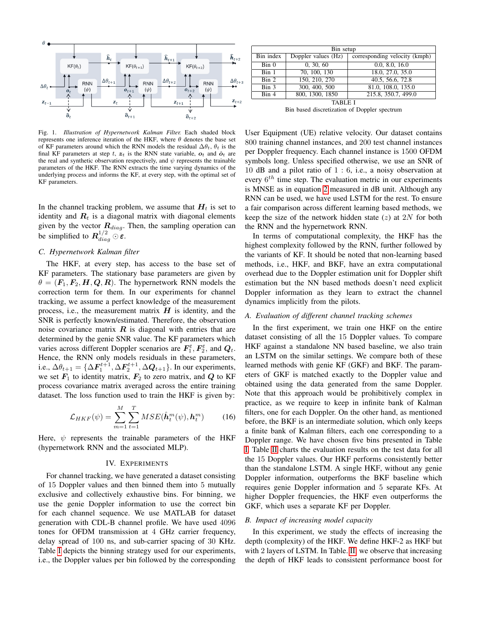

<span id="page-3-2"></span>Fig. 1. *Illustration of Hypernetwork Kalman Filter.* Each shaded block represents one inference iteration of the HKF, where  $\theta$  denotes the base set of KF parameters around which the RNN models the residual  $\Delta\theta_t$ ,  $\theta_t$  is the final KF parameters at step t,  $z_t$  is the RNN state variable,  $o_t$  and  $\hat{o}_t$  are the real and synthetic observation respectively, and  $\psi$  represents the trainable parameters of the HKF. The RNN extracts the time varying dynamics of the underlying process and informs the KF, at every step, with the optimal set of KF parameters.

In the channel tracking problem, we assume that  $H_t$  is set to identity and  $R_t$  is a diagonal matrix with diagonal elements given by the vector  $\mathbf{R}_{diag}$ . Then, the sampling operation can be simplified to  $\mathbf{R}_{diag}^{1/2}\odot\mathbf{\varepsilon}$ .

#### *C. Hypernetwork Kalman filter*

The HKF, at every step, has access to the base set of KF parameters. The stationary base parameters are given by  $\theta = (F_1, F_2, H, Q, R)$ . The hypernetwork RNN models the correction term for them. In our experiments for channel tracking, we assume a perfect knowledge of the measurement process, i.e., the measurement matrix  $H$  is identity, and the SNR is perfectly known/estimated. Therefore, the observation noise covariance matrix  $\boldsymbol{R}$  is diagonal with entries that are determined by the genie SNR value. The KF parameters which varies across different Doppler scenarios are  $\bm{F}_1^t, \bm{F}_2^t$ , and  $\bm{Q}_t$ . Hence, the RNN only models residuals in these parameters, i.e.,  $\Delta \theta_{t+1} = {\Delta \mathbf{F}_1^{t+1}, \Delta \mathbf{F}_2^{t+1}, \Delta \mathbf{Q}_{t+1}}$ . In our experiments, we set  $F_1$  to identity matrix,  $F_2$  to zero matrix, and  $Q$  to KF process covariance matrix averaged across the entire training dataset. The loss function used to train the HKF is given by:

$$
\mathcal{L}_{HKF}(\psi) = \sum_{m=1}^{M} \sum_{t=1}^{T} MSE(\hat{\boldsymbol{h}}_t^m(\psi), \boldsymbol{h}_t^m)
$$
(16)

Here,  $\psi$  represents the trainable parameters of the HKF (hypernetwork RNN and the associated MLP).

## IV. EXPERIMENTS

<span id="page-3-1"></span>For channel tracking, we have generated a dataset consisting of 15 Doppler values and then binned them into 5 mutually exclusive and collectively exhaustive bins. For binning, we use the genie Doppler information to use the correct bin for each channel sequence. We use MATLAB for dataset generation with CDL-B channel profile. We have used 4096 tones for OFDM transmission at 4 GHz carrier frequency, delay spread of 100 ns, and sub-carrier spacing of 30 KHz. Table [I](#page-3-0) depicts the binning strategy used for our experiments, i.e., the Doppler values per bin followed by the corresponding

| Bin setup        |                     |                               |  |  |  |
|------------------|---------------------|-------------------------------|--|--|--|
| Bin index        | Doppler values (Hz) | corresponding velocity (kmph) |  |  |  |
| Bin <sub>0</sub> | 0, 30, 60           | 0.0, 8.0, 16.0                |  |  |  |
| Bin 1            | 70, 100, 130        | 18.0, 27.0, 35.0              |  |  |  |
| $\lim 2$         | 150, 210, 270       | 40.5, 56.6, 72.8              |  |  |  |
| Bin 3            | 300, 400, 500       | 81.0, 108.0, 135.0            |  |  |  |
| Bin 4            | 800, 1300, 1850     | 215.8, 350.7, 499.0           |  |  |  |
| <b>TABLE I</b>   |                     |                               |  |  |  |

Bin based discretization of Doppler spectrum

<span id="page-3-0"></span>User Equipment (UE) relative velocity. Our dataset contains 800 training channel instances, and 200 test channel instances per Doppler frequency. Each channel instance is 1500 OFDM symbols long. Unless specified otherwise, we use an SNR of 10 dB and a pilot ratio of 1 : 6, i.e., a noisy observation at every  $6^{th}$  time step. The evaluation metric in our experiments is MNSE as in equation [2](#page-1-3) measured in dB unit. Although any RNN can be used, we have used LSTM for the rest. To ensure a fair comparison across different learning based methods, we keep the size of the network hidden state  $(z)$  at  $2N$  for both the RNN and the hypernetwork RNN.

In terms of computational complexity, the HKF has the highest complexity followed by the RNN, further followed by the variants of KF. It should be noted that non-learning based methods, i.e., HKF, and BKF, have an extra computational overhead due to the Doppler estimation unit for Doppler shift estimation but the NN based methods doesn't need explicit Doppler information as they learn to extract the channel dynamics implicitly from the pilots.

## *A. Evaluation of different channel tracking schemes*

In the first experiment, we train one HKF on the entire dataset consisting of all the 15 Doppler values. To compare HKF against a standalone NN based baseline, we also train an LSTM on the similar settings. We compare both of these learned methods with genie KF (GKF) and BKF. The parameters of GKF is matched exactly to the Doppler value and obtained using the data generated from the same Doppler. Note that this approach would be prohibitively complex in practice, as we require to keep in infinite bank of Kalman filters, one for each Doppler. On the other hand, as mentioned before, the BKF is an intermediate solution, which only keeps a finite bank of Kalman filters, each one corresponding to a Doppler range. We have chosen five bins presented in Table [I.](#page-3-0) Table [II](#page-4-0) charts the evaluation results on the test data for all the 15 Doppler values. Our HKF performs consistently better than the standalone LSTM. A single HKF, without any genie Doppler information, outperforms the BKF baseline which requires genie Doppler information and 5 separate KFs. At higher Doppler frequencies, the HKF even outperforms the GKF, which uses a separate KF per Doppler.

#### <span id="page-3-3"></span>*B. Impact of increasing model capacity*

In this experiment, we study the effects of increasing the depth (complexity) of the HKF. We define HKF-2 as HKF but with 2 layers of LSTM. In Table. [II,](#page-4-0) we observe that increasing the depth of HKF leads to consistent performance boost for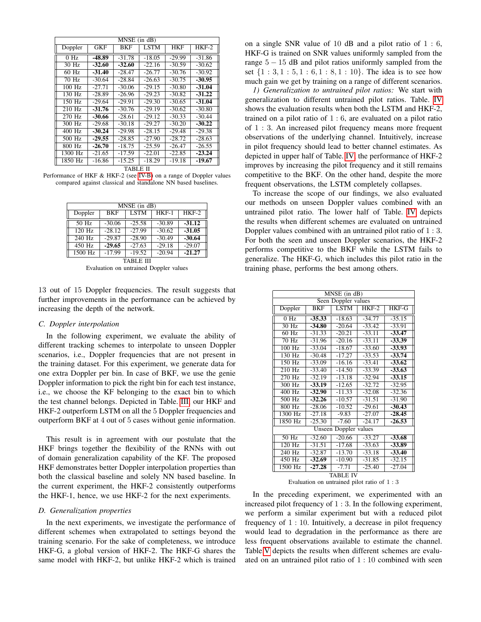| MNSE (in dB)     |          |          |             |            |          |
|------------------|----------|----------|-------------|------------|----------|
| Doppler          | GKF      | BKF      | <b>LSTM</b> | <b>HKF</b> | $HKF-2$  |
| 0 H <sub>z</sub> | -48.89   | $-31.78$ | $-18.05$    | $-29.99$   | $-31.86$ |
| 30 Hz            | $-32.60$ | $-32.60$ | $-22.16$    | $-30.59$   | $-30.62$ |
| 60 Hz            | $-31.40$ | $-28.47$ | $-26.77$    | $-30.76$   | $-30.92$ |
| 70 Hz            | $-30.64$ | $-28.84$ | $-26.63$    | $-30.75$   | $-30.95$ |
| $100$ Hz         | $-27.71$ | $-30.06$ | $-29.15$    | $-30.80$   | $-31.04$ |
| $130$ Hz         | $-28.89$ | $-26.96$ | $-29.23$    | $-30.82$   | $-31.22$ |
| $150$ Hz         | $-29.64$ | $-29.91$ | $-29.30$    | $-30.65$   | $-31.04$ |
| $210$ Hz         | $-31.76$ | $-30.76$ | $-29.19$    | $-30.62$   | $-30.80$ |
| 270 Hz           | $-30.66$ | $-28.61$ | $-29.12$    | $-30.33$   | $-30.44$ |
| 300 Hz           | $-29.68$ | $-30.18$ | $-29.27$    | $-30.20$   | $-30.22$ |
| 400 Hz           | $-30.24$ | $-29.98$ | $-28.15$    | $-29.48$   | $-29.38$ |
| 500 Hz           | $-29.55$ | $-28.85$ | $-27.90$    | $-28.72$   | $-28.63$ |
| 800 Hz           | $-26.70$ | $-18.75$ | $-25.59$    | $-26.47$   | $-26.55$ |
| 1300 Hz          | $-21.65$ | $-17.59$ | $-22.01$    | $-22.85$   | $-23.24$ |
| 1850 Hz          | $-16.86$ | $-15.25$ | $-18.29$    | $-19.18$   | $-19.67$ |

TABLE II

<span id="page-4-0"></span>Performance of HKF & HKF-2 (see [IV-B\)](#page-3-3) on a range of Doppler values compared against classical and standalone NN based baselines.

| MNSE (in dB)     |            |             |          |          |  |
|------------------|------------|-------------|----------|----------|--|
| Doppler          | <b>BKF</b> | <b>LSTM</b> | $HKF-1$  | $HKF-2$  |  |
| 50 Hz            | $-30.06$   | $-25.58$    | $-30.89$ | $-31.12$ |  |
| $120$ Hz         | $-28.12$   | $-27.99$    | $-30.62$ | $-31.05$ |  |
| 240 Hz           | $-29.87$   | $-28.90$    | $-30.49$ | $-30.64$ |  |
| 450 Hz           | $-29.65$   | $-27.63$    | $-29.18$ | $-29.07$ |  |
| $1500$ Hz        | $-17.99$   | $-19.52$    | $-20.94$ | $-21.27$ |  |
| <b>TABLE III</b> |            |             |          |          |  |

Evaluation on untrained Doppler values

<span id="page-4-1"></span>13 out of 15 Doppler frequencies. The result suggests that further improvements in the performance can be achieved by increasing the depth of the network.

## *C. Doppler interpolation*

In the following experiment, we evaluate the ability of different tracking schemes to interpolate to unseen Doppler scenarios, i.e., Doppler frequencies that are not present in the training dataset. For this experiment, we generate data for one extra Doppler per bin. In case of BKF, we use the genie Doppler information to pick the right bin for each test instance, i.e., we choose the KF belonging to the exact bin to which the test channel belongs. Depicted in Table. [III,](#page-4-1) our HKF and HKF-2 outperform LSTM on all the 5 Doppler frequencies and outperform BKF at 4 out of 5 cases without genie information.

This result is in agreement with our postulate that the HKF brings together the flexibility of the RNNs with out of domain generalization capability of the KF. The proposed HKF demonstrates better Doppler interpolation properties than both the classical baseline and solely NN based baseline. In the current experiment, the HKF-2 consistently outperforms the HKF-1, hence, we use HKF-2 for the next experiments.

## *D. Generalization properties*

In the next experiments, we investigate the performance of different schemes when extrapolated to settings beyond the training scenario. For the sake of completeness, we introduce HKF-G, a global version of HKF-2. The HKF-G shares the same model with HKF-2, but unlike HKF-2 which is trained on a single SNR value of 10 dB and a pilot ratio of 1 : 6, HKF-G is trained on SNR values uniformly sampled from the range  $5 - 15$  dB and pilot ratios uniformly sampled from the set  $\{1: 3, 1: 5, 1: 6, 1: 8, 1: 10\}$ . The idea is to see how much gain we get by training on a range of different scenarios.

*1) Generalization to untrained pilot ratios:* We start with generalization to different untrained pilot ratios. Table. [IV](#page-4-2) shows the evaluation results when both the LSTM and HKF-2, trained on a pilot ratio of 1 : 6, are evaluated on a pilot ratio of 1 : 3. An increased pilot frequency means more frequent observations of the underlying channel. Intuitively, increase in pilot frequency should lead to better channel estimates. As depicted in upper half of Table. [IV,](#page-4-2) the performance of HKF-2 improves by increasing the pilot frequency and it still remains competitive to the BKF. On the other hand, despite the more frequent observations, the LSTM completely collapses.

To increase the scope of our findings, we also evaluated our methods on unseen Doppler values combined with an untrained pilot ratio. The lower half of Table. [IV](#page-4-2) depicts the results when different schemes are evaluated on untrained Doppler values combined with an untrained pilot ratio of 1 : 3. For both the seen and unseen Doppler scenarios, the HKF-2 performs competitive to the BKF while the LSTM fails to generalize. The HKF-G, which includes this pilot ratio in the training phase, performs the best among others.

| MNSE (in dB)          |            |             |          |          |  |
|-----------------------|------------|-------------|----------|----------|--|
| Seen Doppler values   |            |             |          |          |  |
| Doppler               | <b>BKF</b> | <b>LSTM</b> | $HKF-2$  | HKF-G    |  |
| 0 Hz                  | $-35.33$   | $-18.63$    | $-34.77$ | $-35.15$ |  |
| 30 Hz                 | $-34.80$   | $-20.64$    | $-33.42$ | $-33.91$ |  |
| $60$ Hz               | $-31.33$   | $-20.21$    | $-33.11$ | $-33.47$ |  |
| 70 Hz                 | $-31.96$   | $-20.16$    | $-33.11$ | $-33.39$ |  |
| 100 Hz                | $-33.04$   | $-18.67$    | $-33.60$ | $-33.93$ |  |
| 130 Hz                | $-30.48$   | $-17.27$    | $-33.53$ | $-33.74$ |  |
| $150$ Hz              | $-33.09$   | $-16.16$    | $-33.41$ | $-33.62$ |  |
| $210$ Hz              | $-33.40$   | $-14.50$    | $-33.39$ | $-33.63$ |  |
| 270 Hz                | $-32.19$   | $-13.18$    | $-32.94$ | $-33.15$ |  |
| 300 Hz                | $-33.19$   | $-12.65$    | $-32.72$ | $-32.95$ |  |
| $400$ Hz              | $-32.90$   | $-11.33$    | $-32.08$ | $-32.36$ |  |
| 500 Hz                | $-32.26$   | $-10.57$    | $-31.51$ | $-31.90$ |  |
| 800 Hz                | $-28.06$   | $-10.52$    | $-29.61$ | $-30.43$ |  |
| 1300 Hz               | $-27.18$   | $-9.83$     | $-27.07$ | $-28.45$ |  |
| 1850 Hz               | $-25.30$   | $-7.60$     | $-24.17$ | $-26.53$ |  |
| Unseen Doppler values |            |             |          |          |  |
| $50$ Hz               | $-32.60$   | $-20.66$    | $-33.27$ | $-33.68$ |  |
| $120$ Hz              | $-31.51$   | $-17.68$    | $-33.63$ | -33.89   |  |
| $240$ Hz              | $-32.87$   | $-13.70$    | $-33.18$ | $-33.40$ |  |
| 450 Hz                | $-32.69$   | $-10.90$    | $-31.85$ | $-32.15$ |  |
| 1500 Hz               | $-27.28$   | $-7.71$     | $-25.40$ | $-27.04$ |  |
| TABLE IV              |            |             |          |          |  |

Evaluation on untrained pilot ratio of 1 : 3

<span id="page-4-2"></span>In the preceding experiment, we experimented with an increased pilot frequency of 1 : 3. In the following experiment, we perform a similar experiment but with a reduced pilot frequency of  $1:10$ . Intuitively, a decrease in pilot frequency would lead to degradation in the performance as there are less frequent observations available to estimate the channel. Table[.V](#page-5-0) depicts the results when different schemes are evaluated on an untrained pilot ratio of 1 : 10 combined with seen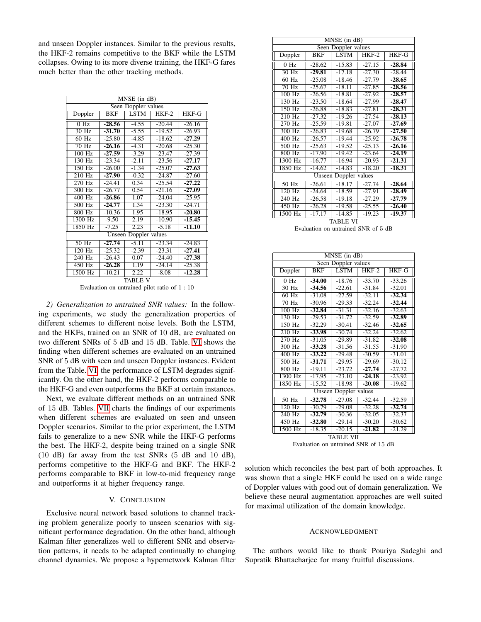and unseen Doppler instances. Similar to the previous results, the HKF-2 remains competitive to the BKF while the LSTM collapses. Owing to its more diverse training, the HKF-G fares much better than the other tracking methods.

| $MNSE$ (in $dB$ )   |                       |         |          |              |  |  |
|---------------------|-----------------------|---------|----------|--------------|--|--|
| Seen Doppler values |                       |         |          |              |  |  |
| Doppler             | <b>BKF</b>            | LSTM    | $HKF-2$  | <b>HKF-G</b> |  |  |
| 0 Hz                | $-28.56$              | $-4.55$ | $-20.44$ | $-26.16$     |  |  |
| $30$ Hz             | $-31.70$              | $-5.55$ | $-19.52$ | $-26.93$     |  |  |
| $60$ Hz             | $-25.80$              | $-4.85$ | $-18.62$ | $-27.29$     |  |  |
| $70$ Hz             | $-26.16$              | $-4.31$ | $-20.68$ | $-25.30$     |  |  |
| $100$ Hz            | $-27.59$              | $-3.29$ | $-23.47$ | $-27.39$     |  |  |
| $130$ Hz            | $-23.34$              | $-2.11$ | $-23.56$ | $-27.17$     |  |  |
| 150 Hz              | $-26.00$              | $-1.34$ | $-25.07$ | $-27.63$     |  |  |
| 210 Hz              | $-27.90$              | $-0.32$ | $-24.87$ | $-27.60$     |  |  |
| $270$ Hz            | $-24.41$              | 0.34    | $-25.54$ | $-27.22$     |  |  |
| 300 Hz              | $-26.77$              | 0.54    | $-21.16$ | $-27.09$     |  |  |
| $400$ Hz            | $-26.86$              | 1.07    | $-24.04$ | $-25.95$     |  |  |
| 500 Hz              | $-24.77$              | 1.34    | $-23.30$ | $-24.71$     |  |  |
| 800 Hz              | $-10.36$              | 1.95    | $-18.95$ | $-20.80$     |  |  |
| 1300 Hz             | $-9.50$               | 2.19    | $-10.90$ | $-15.45$     |  |  |
| 1850 Hz             | $-7.25$               | 2.23    | $-5.18$  | $-11.10$     |  |  |
|                     | Unseen Doppler values |         |          |              |  |  |
| 50 Hz               | $-27.74$              | $-5.11$ | $-23.34$ | $-24.83$     |  |  |
| 120 Hz              | $-25.32$              | $-2.39$ | $-23.31$ | $-27.41$     |  |  |
| 240 Hz              | $-26.43$              | 0.07    | $-24.40$ | $-27.38$     |  |  |
| 450 Hz              | $-26.28$              | 1.19    | $-24.14$ | $-25.38$     |  |  |
| 1500 Hz             | $-10.21$              | 2.22    | $-8.08$  | $-12.28$     |  |  |
| TABLE V             |                       |         |          |              |  |  |

Evaluation on untrained pilot ratio of 1 : 10

<span id="page-5-0"></span>*2) Generalization to untrained SNR values:* In the following experiments, we study the generalization properties of different schemes to different noise levels. Both the LSTM, and the HKFs, trained on an SNR of 10 dB, are evaluated on two different SNRs of 5 dB and 15 dB. Table. [VI](#page-5-1) shows the finding when different schemes are evaluated on an untrained SNR of 5 dB with seen and unseen Doppler instances. Evident from the Table. [VI,](#page-5-1) the performance of LSTM degrades significantly. On the other hand, the HKF-2 performs comparable to the HKF-G and even outperforms the BKF at certain instances.

Next, we evaluate different methods on an untrained SNR of 15 dB. Tables. [VII](#page-5-2) charts the findings of our experiments when different schemes are evaluated on seen and unseen Doppler scenarios. Similar to the prior experiment, the LSTM fails to generalize to a new SNR while the HKF-G performs the best. The HKF-2, despite being trained on a single SNR (10 dB) far away from the test SNRs (5 dB and 10 dB), performs competitive to the HKF-G and BKF. The HKF-2 performs comparable to BKF in low-to-mid frequency range and outperforms it at higher frequency range.

## V. CONCLUSION

Exclusive neural network based solutions to channel tracking problem generalize poorly to unseen scenarios with significant performance degradation. On the other hand, although Kalman filter generalizes well to different SNR and observation patterns, it needs to be adapted continually to changing channel dynamics. We propose a hypernetwork Kalman filter

| MNSE (in dB)             |            |             |          |              |  |
|--------------------------|------------|-------------|----------|--------------|--|
| Seen Doppler values      |            |             |          |              |  |
| Doppler                  | <b>BKF</b> | <b>LSTM</b> | $HKF-2$  | <b>HKF-G</b> |  |
| $0$ Hz                   | $-28.62$   | $-15.83$    | $-27.15$ | $-28.84$     |  |
| $30$ Hz                  | $-29.81$   | $-17.18$    | $-27.30$ | $-28.44$     |  |
| $60$ Hz                  | $-25.08$   | $-18.46$    | $-27.79$ | $-28.65$     |  |
| $70$ Hz                  | $-25.67$   | $-18.11$    | $-27.85$ | $-28.56$     |  |
| $100$ Hz                 | $-26.56$   | $-18.81$    | $-27.92$ | $-28.57$     |  |
| 130 Hz                   | $-23.50$   | $-18.64$    | $-27.99$ | $-28.47$     |  |
| 150 Hz                   | $-26.88$   | $-18.83$    | $-27.81$ | $-28.31$     |  |
| 210 Hz                   | $-27.32$   | $-19.26$    | $-27.54$ | $-28.13$     |  |
| 270 Hz                   | $-25.59$   | $-19.81$    | $-27.07$ | $-27.69$     |  |
| 300 Hz                   | $-26.83$   | $-19.68$    | $-26.79$ | $-27.50$     |  |
| 400 Hz                   | $-26.57$   | $-19.44$    | $-25.92$ | $-26.78$     |  |
| 500 Hz                   | $-25.63$   | $-19.52$    | $-25.13$ | $-26.16$     |  |
| 800 Hz                   | $-17.90$   | $-19.42$    | $-23.64$ | $-24.19$     |  |
| 1300 Hz                  | $-16.77$   | $-16.94$    | $-20.93$ | $-21.31$     |  |
| 1850 Hz                  | $-14.62$   | $-14.83$    | $-18.20$ | $-18.31$     |  |
| Unseen<br>Doppler values |            |             |          |              |  |
| $50$ Hz                  | $-26.61$   | $-18.17$    | $-27.74$ | $-28.64$     |  |
| $120$ Hz                 | $-24.64$   | $-18.59$    | $-27.91$ | $-28.49$     |  |
| $240$ Hz                 | $-26.58$   | $-19.18$    | $-27.29$ | $-27.79$     |  |
| $450$ Hz                 | $-26.28$   | $-19.58$    | $-25.55$ | $-26.40$     |  |
| 1500 Hz                  | $-17.17$   | $-14.85$    | $-19.23$ | $-19.37$     |  |
| TABLE VI                 |            |             |          |              |  |

Evaluation on untrained SNR of 5 dB

<span id="page-5-1"></span>

| MNSE (in dB)               |            |             |          |          |
|----------------------------|------------|-------------|----------|----------|
| Seen Doppler values        |            |             |          |          |
| Doppler                    | <b>BKF</b> | <b>LSTM</b> | $HKF-2$  | HKF-G    |
| $0$ Hz                     | $-34.00$   | $-18.76$    | $-33.70$ | $-33.26$ |
| 30 Hz                      | $-34.56$   | $-22.61$    | $-31.84$ | $-32.01$ |
| $60 \overline{\text{Hz}}$  | $-31.08$   | $-27.59$    | $-32.11$ | $-32.34$ |
| $70$ Hz                    | $-30.96$   | $-29.33$    | $-32.24$ | $-32.44$ |
| $100$ Hz                   | $-32.84$   | $-31.31$    | $-32.16$ | $-32.63$ |
| $130$ Hz                   | $-29.53$   | $-31.72$    | $-32.59$ | $-32.89$ |
| $150$ Hz                   | $-32.29$   | $-30.41$    | $-32.46$ | $-32.65$ |
| $210$ Hz                   | -33.98     | $-30.74$    | $-32.24$ | $-32.62$ |
| 270 Hz                     | $-31.05$   | $-29.89$    | $-31.82$ | $-32.08$ |
| $300 \overline{\text{Hz}}$ | $-33.28$   | $-31.56$    | $-31.55$ | $-31.90$ |
| $400$ Hz                   | $-33.22$   | $-29.48$    | $-30.59$ | $-31.01$ |
| $500$ Hz                   | $-31.71$   | $-29.95$    | $-29.69$ | $-30.12$ |
| $800$ Hz                   | $-19.11$   | $-23.72$    | $-27.74$ | $-27.72$ |
| 1300 Hz                    | $-17.95$   | $-23.10$    | $-24.18$ | $-23.92$ |
| 1850 Hz                    | $-15.52$   | $-18.98$    | $-20.08$ | $-19.62$ |
| Unseen Doppler values      |            |             |          |          |
| $50 \overline{\text{Hz}}$  | $-32.78$   | $-27.08$    | $-32.44$ | $-32.59$ |
| 120 Hz                     | $-30.79$   | $-29.08$    | $-32.28$ | $-32.74$ |
| 240 Hz                     | $-32.79$   | $-30.36$    | $-32.05$ | $-32.37$ |
| 450 Hz                     | $-32.80$   | $-29.14$    | $-30.20$ | $-30.62$ |
| 1500 Hz                    | $-18.35$   | $-20.15$    | $-21.82$ | $-21.29$ |
| TABLE VII                  |            |             |          |          |

Evaluation on untrained SNR of 15 dB

<span id="page-5-2"></span>solution which reconciles the best part of both approaches. It was shown that a single HKF could be used on a wide range of Doppler values with good out of domain generalization. We believe these neural augmentation approaches are well suited for maximal utilization of the domain knowledge.

## **ACKNOWLEDGMENT**

The authors would like to thank Pouriya Sadeghi and Supratik Bhattacharjee for many fruitful discussions.